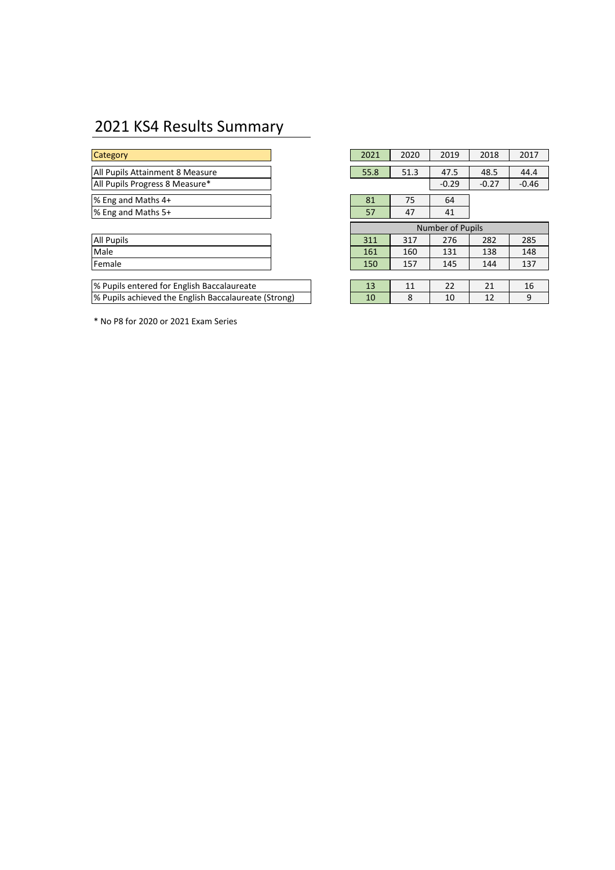# 2021 KS4 Results Summary

| All Pupils |  |
|------------|--|
| Male       |  |
| Female     |  |
|            |  |

\* No P8 for 2020 or 2021 Exam Series

| <b>Category</b>                                      |  | 2021                    | 2020 | 2019    | 2018    | 2017    |  |  |
|------------------------------------------------------|--|-------------------------|------|---------|---------|---------|--|--|
| All Pupils Attainment 8 Measure                      |  | 55.8                    | 51.3 | 47.5    | 48.5    | 44.4    |  |  |
| All Pupils Progress 8 Measure*                       |  |                         |      | $-0.29$ | $-0.27$ | $-0.46$ |  |  |
| % Eng and Maths 4+                                   |  | 81                      | 75   | 64      |         |         |  |  |
| % Eng and Maths 5+                                   |  | 57                      | 47   | 41      |         |         |  |  |
|                                                      |  | <b>Number of Pupils</b> |      |         |         |         |  |  |
| All Pupils                                           |  | 311                     | 317  | 276     | 282     | 285     |  |  |
| Male                                                 |  | 161                     | 160  | 131     | 138     | 148     |  |  |
| Female                                               |  | 150                     | 157  | 145     | 144     | 137     |  |  |
|                                                      |  |                         |      |         |         |         |  |  |
| % Pupils entered for English Baccalaureate           |  | 13                      | 11   | 22      | 21      | 16      |  |  |
| % Pupils achieved the English Baccalaureate (Strong) |  | 10                      | 8    | 10      | 12      | 9       |  |  |
|                                                      |  |                         |      |         |         |         |  |  |